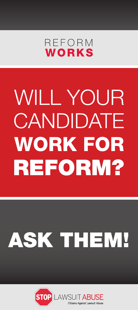

## **WILL YOUR** CANDIDATE **WORK FOR REFORM?**

## ASK THEM!